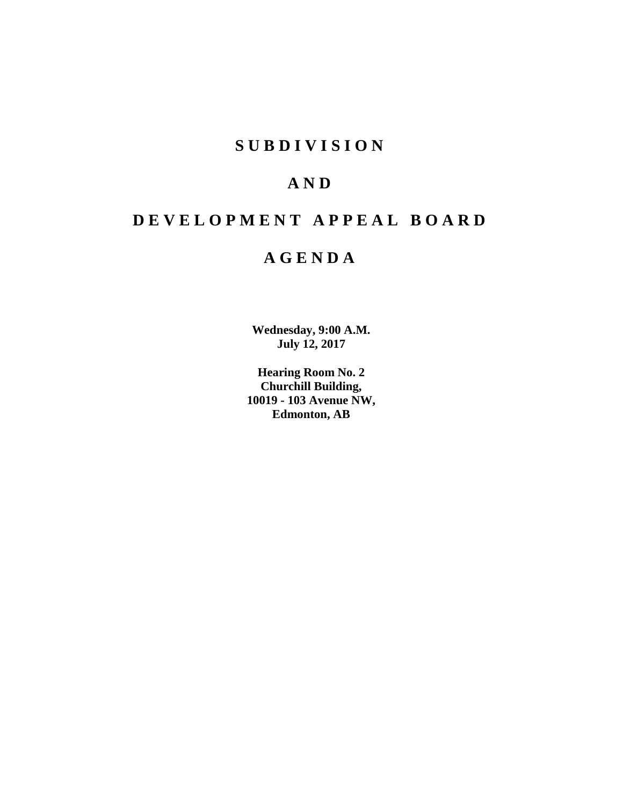# **S U B D I V I S I O N**

# **A N D**

# **D E V E L O P M E N T A P P E A L B O A R D**

# **A G E N D A**

**Wednesday, 9:00 A.M. July 12, 2017**

**Hearing Room No. 2 Churchill Building, 10019 - 103 Avenue NW, Edmonton, AB**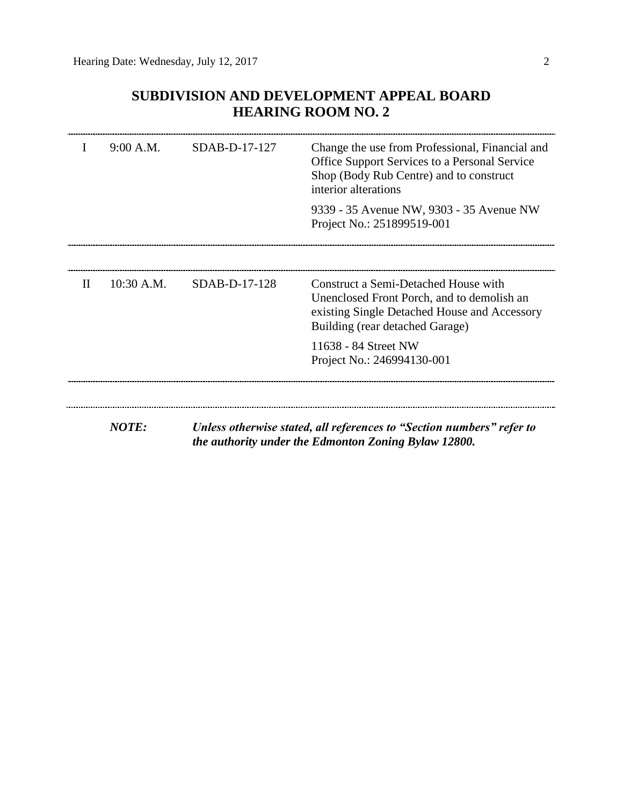## **SUBDIVISION AND DEVELOPMENT APPEAL BOARD HEARING ROOM NO. 2**

|              | 9:00 A.M.    | SDAB-D-17-127   | Change the use from Professional, Financial and<br><b>Office Support Services to a Personal Service</b><br>Shop (Body Rub Centre) and to construct<br>interior alterations |  |
|--------------|--------------|-----------------|----------------------------------------------------------------------------------------------------------------------------------------------------------------------------|--|
|              |              |                 | 9339 - 35 Avenue NW, 9303 - 35 Avenue NW<br>Project No.: 251899519-001                                                                                                     |  |
|              |              |                 |                                                                                                                                                                            |  |
| $\mathbf{H}$ | $10:30$ A.M. | $SDAB-D-17-128$ | Construct a Semi-Detached House with<br>Unenclosed Front Porch, and to demolish an<br>existing Single Detached House and Accessory<br>Building (rear detached Garage)      |  |
|              |              |                 | 11638 - 84 Street NW<br>Project No.: 246994130-001                                                                                                                         |  |
|              |              |                 |                                                                                                                                                                            |  |
|              | <b>NOTE:</b> |                 | Unless otherwise stated, all references to "Section numbers" refer to<br>the authority under the Edmonton Zoning Bylaw 12800.                                              |  |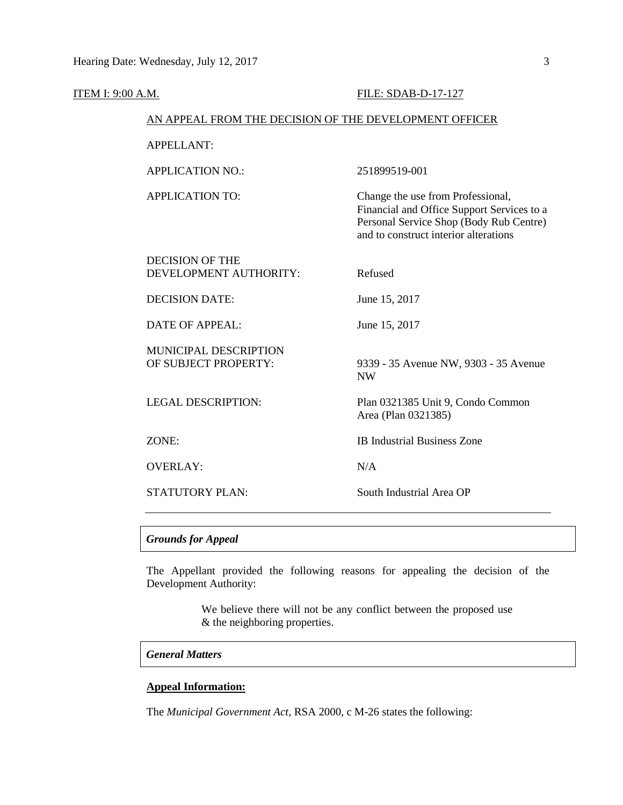| <b>ITEM I: 9:00 A.M.</b> |                                                        | FILE: SDAB-D-17-127                                                                                                                                                 |
|--------------------------|--------------------------------------------------------|---------------------------------------------------------------------------------------------------------------------------------------------------------------------|
|                          | AN APPEAL FROM THE DECISION OF THE DEVELOPMENT OFFICER |                                                                                                                                                                     |
|                          | <b>APPELLANT:</b>                                      |                                                                                                                                                                     |
|                          | <b>APPLICATION NO.:</b>                                | 251899519-001                                                                                                                                                       |
|                          | <b>APPLICATION TO:</b>                                 | Change the use from Professional,<br>Financial and Office Support Services to a<br>Personal Service Shop (Body Rub Centre)<br>and to construct interior alterations |
|                          | <b>DECISION OF THE</b><br>DEVELOPMENT AUTHORITY:       | Refused                                                                                                                                                             |
|                          | <b>DECISION DATE:</b>                                  | June 15, 2017                                                                                                                                                       |
|                          | DATE OF APPEAL:                                        | June 15, 2017                                                                                                                                                       |
|                          | MUNICIPAL DESCRIPTION<br>OF SUBJECT PROPERTY:          | 9339 - 35 Avenue NW, 9303 - 35 Avenue<br><b>NW</b>                                                                                                                  |
|                          | <b>LEGAL DESCRIPTION:</b>                              | Plan 0321385 Unit 9, Condo Common<br>Area (Plan 0321385)                                                                                                            |
|                          | ZONE:                                                  | <b>IB Industrial Business Zone</b>                                                                                                                                  |
|                          | <b>OVERLAY:</b>                                        | N/A                                                                                                                                                                 |
|                          | <b>STATUTORY PLAN:</b>                                 | South Industrial Area OP                                                                                                                                            |

The Appellant provided the following reasons for appealing the decision of the Development Authority:

> We believe there will not be any conflict between the proposed use & the neighboring properties.

## *General Matters*

## **Appeal Information:**

The *Municipal Government Act*, RSA 2000, c M-26 states the following: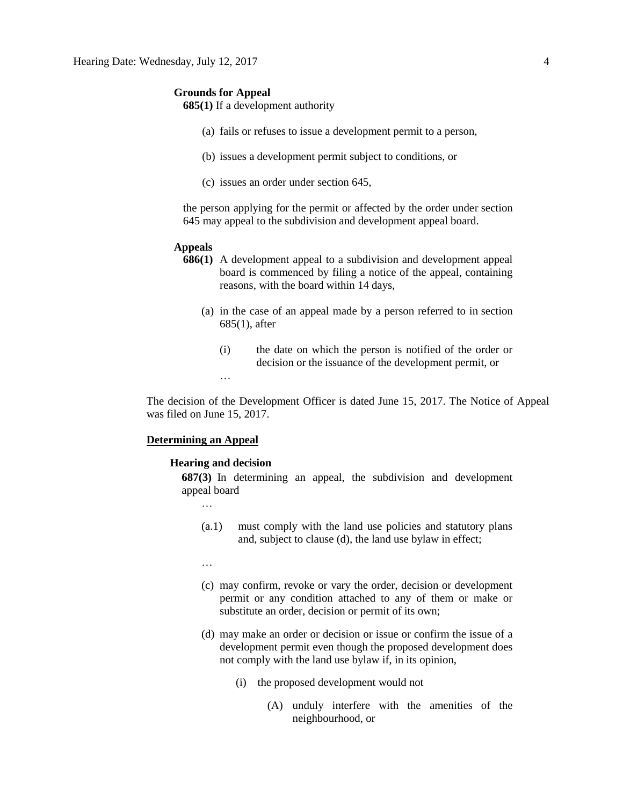**685(1)** If a development authority

- (a) fails or refuses to issue a development permit to a person,
- (b) issues a development permit subject to conditions, or
- (c) issues an order under section 645,

the person applying for the permit or affected by the order under section 645 may appeal to the subdivision and development appeal board.

#### **Appeals**

- **686(1)** A development appeal to a subdivision and development appeal board is commenced by filing a notice of the appeal, containing reasons, with the board within 14 days,
	- (a) in the case of an appeal made by a person referred to in section 685(1), after
		- (i) the date on which the person is notified of the order or decision or the issuance of the development permit, or

The decision of the Development Officer is dated June 15, 2017. The Notice of Appeal was filed on June 15, 2017.

#### **Determining an Appeal**

#### **Hearing and decision**

…

**687(3)** In determining an appeal, the subdivision and development appeal board

…

- (a.1) must comply with the land use policies and statutory plans and, subject to clause (d), the land use bylaw in effect;
- …
- (c) may confirm, revoke or vary the order, decision or development permit or any condition attached to any of them or make or substitute an order, decision or permit of its own;
- (d) may make an order or decision or issue or confirm the issue of a development permit even though the proposed development does not comply with the land use bylaw if, in its opinion,
	- (i) the proposed development would not
		- (A) unduly interfere with the amenities of the neighbourhood, or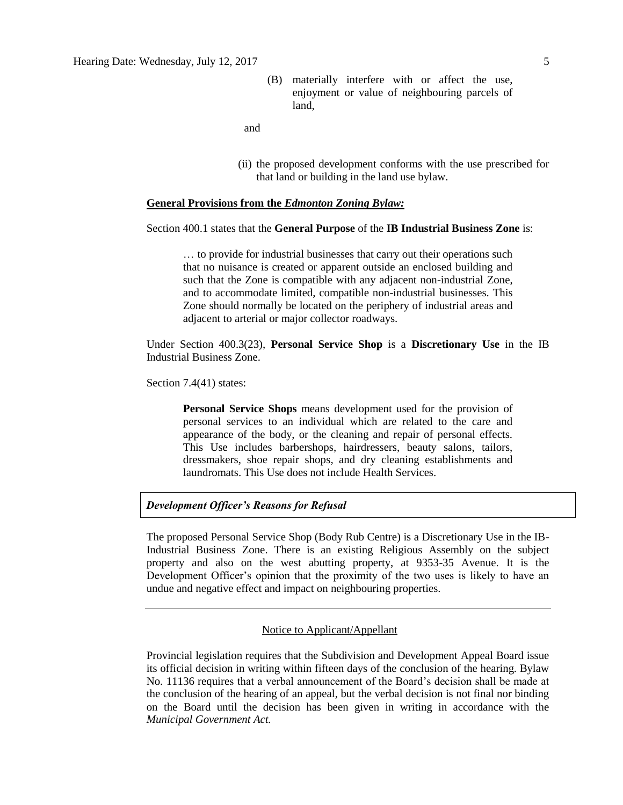(B) materially interfere with or affect the use, enjoyment or value of neighbouring parcels of land,

and

(ii) the proposed development conforms with the use prescribed for that land or building in the land use bylaw.

#### **General Provisions from the** *Edmonton Zoning Bylaw:*

## Section 400.1 states that the **General Purpose** of the **IB Industrial Business Zone** is:

… to provide for industrial businesses that carry out their operations such that no nuisance is created or apparent outside an enclosed building and such that the Zone is compatible with any adjacent non-industrial Zone, and to accommodate limited, compatible non-industrial businesses. This Zone should normally be located on the periphery of industrial areas and adjacent to arterial or major collector roadways.

Under Section 400.3(23), **Personal Service Shop** is a **Discretionary Use** in the IB Industrial Business Zone.

Section 7.4(41) states:

**Personal Service Shops** means development used for the provision of personal services to an individual which are related to the care and appearance of the body, or the cleaning and repair of personal effects. This Use includes barbershops, hairdressers, beauty salons, tailors, dressmakers, shoe repair shops, and dry cleaning establishments and laundromats. This Use does not include Health Services.

## *Development Officer's Reasons for Refusal*

The proposed Personal Service Shop (Body Rub Centre) is a Discretionary Use in the IB-Industrial Business Zone. There is an existing Religious Assembly on the subject property and also on the west abutting property, at 9353-35 Avenue. It is the Development Officer's opinion that the proximity of the two uses is likely to have an undue and negative effect and impact on neighbouring properties.

## Notice to Applicant/Appellant

Provincial legislation requires that the Subdivision and Development Appeal Board issue its official decision in writing within fifteen days of the conclusion of the hearing. Bylaw No. 11136 requires that a verbal announcement of the Board's decision shall be made at the conclusion of the hearing of an appeal, but the verbal decision is not final nor binding on the Board until the decision has been given in writing in accordance with the *Municipal Government Act.*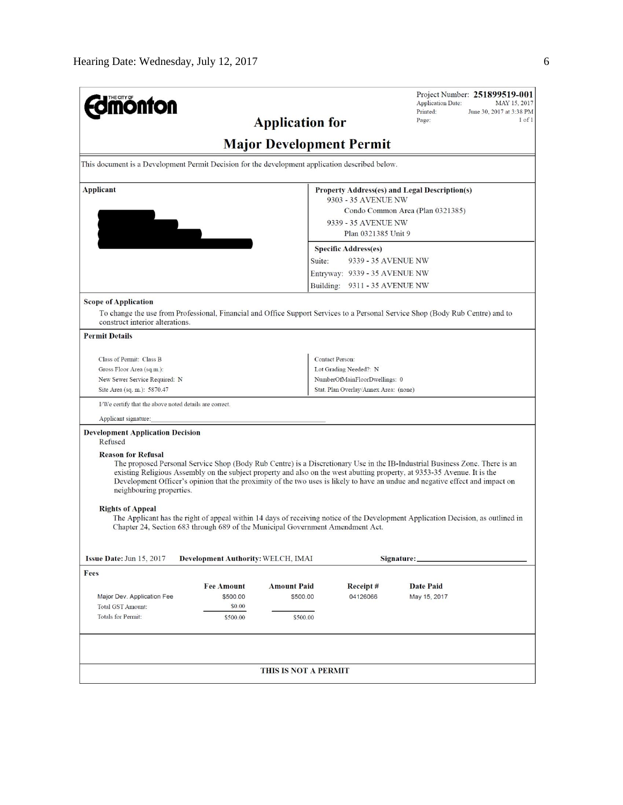| <b>nonton</b>                                                                                                                                                                                                                                                                                          |                                    | <b>Application for</b>                                                                                                                                                                                                                                                                                                                                                                   |                                                                                                                                             | <b>Application Date:</b><br>Printed:<br>Page: | Project Number: 251899519-001<br>MAY 15, 2017<br>June 30, 2017 at 3:38 PM<br>$1$ of $1$ |
|--------------------------------------------------------------------------------------------------------------------------------------------------------------------------------------------------------------------------------------------------------------------------------------------------------|------------------------------------|------------------------------------------------------------------------------------------------------------------------------------------------------------------------------------------------------------------------------------------------------------------------------------------------------------------------------------------------------------------------------------------|---------------------------------------------------------------------------------------------------------------------------------------------|-----------------------------------------------|-----------------------------------------------------------------------------------------|
|                                                                                                                                                                                                                                                                                                        |                                    | <b>Major Development Permit</b>                                                                                                                                                                                                                                                                                                                                                          |                                                                                                                                             |                                               |                                                                                         |
| This document is a Development Permit Decision for the development application described below.                                                                                                                                                                                                        |                                    |                                                                                                                                                                                                                                                                                                                                                                                          |                                                                                                                                             |                                               |                                                                                         |
| <b>Applicant</b>                                                                                                                                                                                                                                                                                       |                                    | Property Address(es) and Legal Description(s)<br>9303 - 35 AVENUE NW<br>Condo Common Area (Plan 0321385)<br>9339 - 35 AVENUE NW                                                                                                                                                                                                                                                          |                                                                                                                                             |                                               |                                                                                         |
|                                                                                                                                                                                                                                                                                                        |                                    | Suite:                                                                                                                                                                                                                                                                                                                                                                                   | Plan 0321385 Unit 9<br><b>Specific Address(es)</b><br>9339 - 35 AVENUE NW<br>Entryway: 9339 - 35 AVENUE NW<br>Building: 9311 - 35 AVENUE NW |                                               |                                                                                         |
| <b>Scope of Application</b><br>To change the use from Professional, Financial and Office Support Services to a Personal Service Shop (Body Rub Centre) and to<br>construct interior alterations.                                                                                                       |                                    |                                                                                                                                                                                                                                                                                                                                                                                          |                                                                                                                                             |                                               |                                                                                         |
| <b>Permit Details</b>                                                                                                                                                                                                                                                                                  |                                    |                                                                                                                                                                                                                                                                                                                                                                                          |                                                                                                                                             |                                               |                                                                                         |
| Class of Permit: Class B                                                                                                                                                                                                                                                                               |                                    |                                                                                                                                                                                                                                                                                                                                                                                          | <b>Contact Person:</b>                                                                                                                      |                                               |                                                                                         |
| Gross Floor Area (sq.m.):                                                                                                                                                                                                                                                                              |                                    |                                                                                                                                                                                                                                                                                                                                                                                          | Lot Grading Needed?: N                                                                                                                      |                                               |                                                                                         |
| New Sewer Service Required: N                                                                                                                                                                                                                                                                          |                                    |                                                                                                                                                                                                                                                                                                                                                                                          | NumberOfMainFloorDwellings: 0                                                                                                               |                                               |                                                                                         |
| Site Area (sq. m.): 5870.47                                                                                                                                                                                                                                                                            |                                    |                                                                                                                                                                                                                                                                                                                                                                                          | Stat. Plan Overlay/Annex Area: (none)                                                                                                       |                                               |                                                                                         |
| I/We certify that the above noted details are correct.                                                                                                                                                                                                                                                 |                                    |                                                                                                                                                                                                                                                                                                                                                                                          |                                                                                                                                             |                                               |                                                                                         |
| Applicant signature:                                                                                                                                                                                                                                                                                   |                                    |                                                                                                                                                                                                                                                                                                                                                                                          |                                                                                                                                             |                                               |                                                                                         |
| <b>Development Application Decision</b><br>Refused                                                                                                                                                                                                                                                     |                                    |                                                                                                                                                                                                                                                                                                                                                                                          |                                                                                                                                             |                                               |                                                                                         |
| <b>Reason for Refusal</b><br>neighbouring properties.<br><b>Rights of Appeal</b><br>The Applicant has the right of appeal within 14 days of receiving notice of the Development Application Decision, as outlined in<br>Chapter 24, Section 683 through 689 of the Municipal Government Amendment Act. |                                    | The proposed Personal Service Shop (Body Rub Centre) is a Discretionary Use in the IB-Industrial Business Zone. There is an<br>existing Religious Assembly on the subject property and also on the west abutting property, at 9353-35 Avenue. It is the<br>Development Officer's opinion that the proximity of the two uses is likely to have an undue and negative effect and impact on |                                                                                                                                             |                                               |                                                                                         |
| Issue Date: Jun 15, 2017                                                                                                                                                                                                                                                                               | Development Authority: WELCH, IMAI |                                                                                                                                                                                                                                                                                                                                                                                          |                                                                                                                                             | Signature:                                    |                                                                                         |
| Fees                                                                                                                                                                                                                                                                                                   |                                    |                                                                                                                                                                                                                                                                                                                                                                                          |                                                                                                                                             |                                               |                                                                                         |
|                                                                                                                                                                                                                                                                                                        | <b>Fee Amount</b>                  | <b>Amount Paid</b>                                                                                                                                                                                                                                                                                                                                                                       | Receipt#                                                                                                                                    | <b>Date Paid</b>                              |                                                                                         |
| Major Dev. Application Fee                                                                                                                                                                                                                                                                             | \$500.00                           | \$500.00                                                                                                                                                                                                                                                                                                                                                                                 | 04126066                                                                                                                                    | May 15, 2017                                  |                                                                                         |
| <b>Total GST Amount:</b>                                                                                                                                                                                                                                                                               | \$0.00                             |                                                                                                                                                                                                                                                                                                                                                                                          |                                                                                                                                             |                                               |                                                                                         |
| <b>Totals for Permit:</b>                                                                                                                                                                                                                                                                              | \$500.00                           | \$500.00                                                                                                                                                                                                                                                                                                                                                                                 |                                                                                                                                             |                                               |                                                                                         |
|                                                                                                                                                                                                                                                                                                        |                                    |                                                                                                                                                                                                                                                                                                                                                                                          |                                                                                                                                             |                                               |                                                                                         |
|                                                                                                                                                                                                                                                                                                        |                                    |                                                                                                                                                                                                                                                                                                                                                                                          |                                                                                                                                             |                                               |                                                                                         |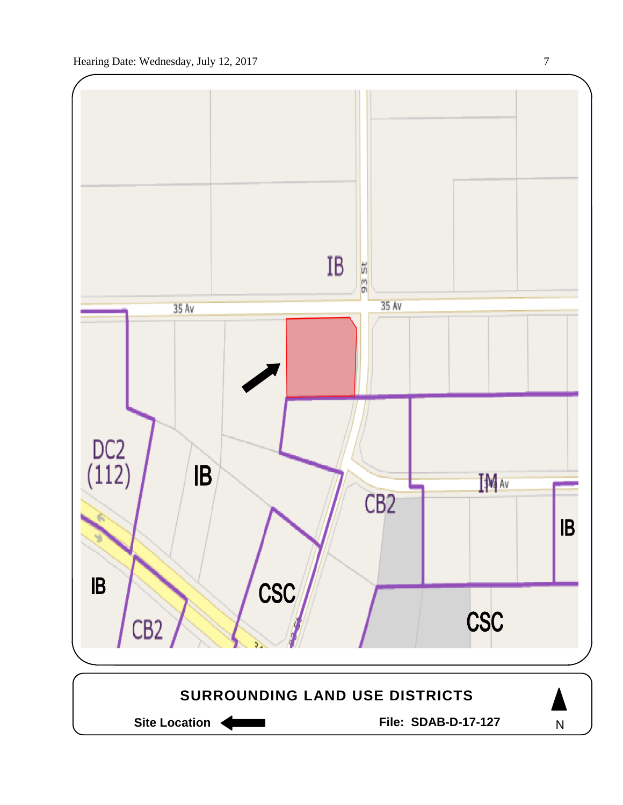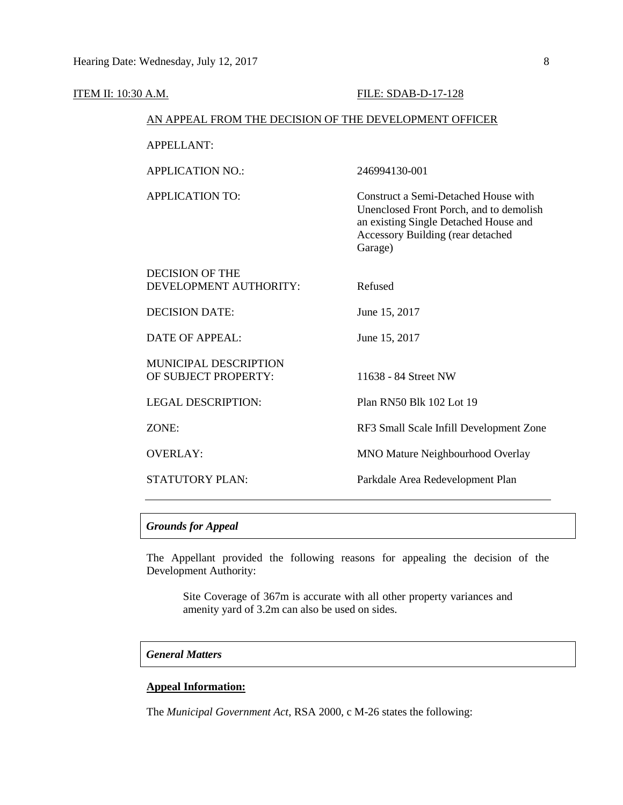| <b>ITEM II: 10:30 A.M.</b> |                                                        | FILE: SDAB-D-17-128                                                                                                                                                      |
|----------------------------|--------------------------------------------------------|--------------------------------------------------------------------------------------------------------------------------------------------------------------------------|
|                            | AN APPEAL FROM THE DECISION OF THE DEVELOPMENT OFFICER |                                                                                                                                                                          |
|                            | <b>APPELLANT:</b>                                      |                                                                                                                                                                          |
|                            | <b>APPLICATION NO.:</b>                                | 246994130-001                                                                                                                                                            |
|                            | <b>APPLICATION TO:</b>                                 | Construct a Semi-Detached House with<br>Unenclosed Front Porch, and to demolish<br>an existing Single Detached House and<br>Accessory Building (rear detached<br>Garage) |
|                            | <b>DECISION OF THE</b><br>DEVELOPMENT AUTHORITY:       | Refused                                                                                                                                                                  |
|                            | <b>DECISION DATE:</b>                                  | June 15, 2017                                                                                                                                                            |
|                            | <b>DATE OF APPEAL:</b>                                 | June 15, 2017                                                                                                                                                            |
|                            | MUNICIPAL DESCRIPTION<br>OF SUBJECT PROPERTY:          | 11638 - 84 Street NW                                                                                                                                                     |
|                            | <b>LEGAL DESCRIPTION:</b>                              | Plan RN50 Blk 102 Lot 19                                                                                                                                                 |
|                            | ZONE:                                                  | RF3 Small Scale Infill Development Zone                                                                                                                                  |
|                            | <b>OVERLAY:</b>                                        | MNO Mature Neighbourhood Overlay                                                                                                                                         |
|                            | STATUTORY PLAN:                                        | Parkdale Area Redevelopment Plan                                                                                                                                         |
|                            |                                                        |                                                                                                                                                                          |

The Appellant provided the following reasons for appealing the decision of the Development Authority:

Site Coverage of 367m is accurate with all other property variances and amenity yard of 3.2m can also be used on sides.

## *General Matters*

## **Appeal Information:**

The *Municipal Government Act*, RSA 2000, c M-26 states the following: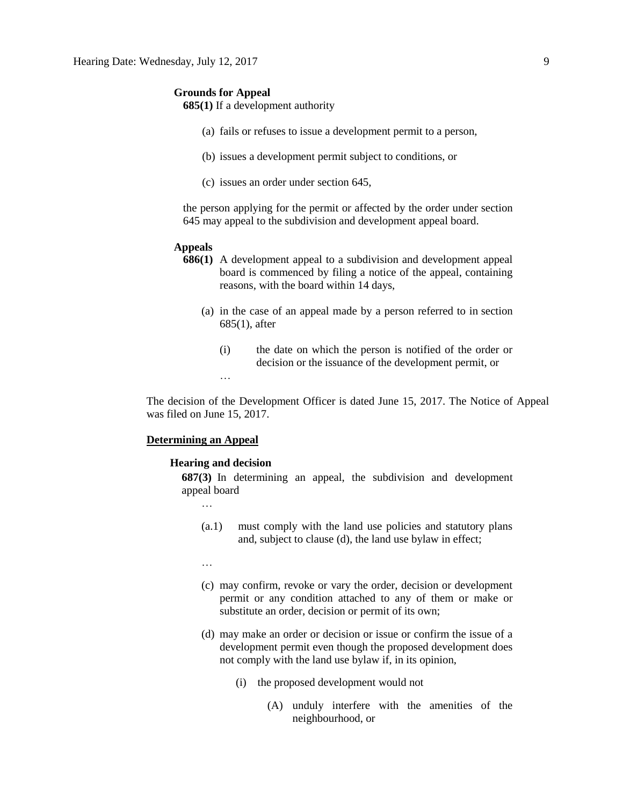**685(1)** If a development authority

- (a) fails or refuses to issue a development permit to a person,
- (b) issues a development permit subject to conditions, or
- (c) issues an order under section 645,

the person applying for the permit or affected by the order under section 645 may appeal to the subdivision and development appeal board.

#### **Appeals**

- **686(1)** A development appeal to a subdivision and development appeal board is commenced by filing a notice of the appeal, containing reasons, with the board within 14 days,
	- (a) in the case of an appeal made by a person referred to in section 685(1), after
		- (i) the date on which the person is notified of the order or decision or the issuance of the development permit, or

The decision of the Development Officer is dated June 15, 2017. The Notice of Appeal was filed on June 15, 2017.

#### **Determining an Appeal**

#### **Hearing and decision**

…

**687(3)** In determining an appeal, the subdivision and development appeal board

…

- (a.1) must comply with the land use policies and statutory plans and, subject to clause (d), the land use bylaw in effect;
- …
- (c) may confirm, revoke or vary the order, decision or development permit or any condition attached to any of them or make or substitute an order, decision or permit of its own;
- (d) may make an order or decision or issue or confirm the issue of a development permit even though the proposed development does not comply with the land use bylaw if, in its opinion,
	- (i) the proposed development would not
		- (A) unduly interfere with the amenities of the neighbourhood, or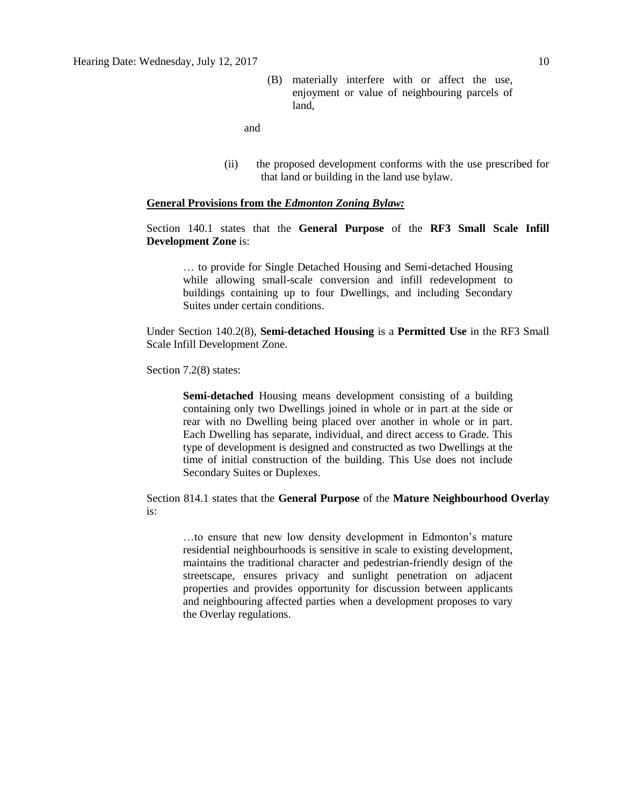(B) materially interfere with or affect the use, enjoyment or value of neighbouring parcels of land,

and

(ii) the proposed development conforms with the use prescribed for that land or building in the land use bylaw.

## **General Provisions from the** *Edmonton Zoning Bylaw:*

## Section 140.1 states that the **General Purpose** of the **RF3 Small Scale Infill Development Zone** is:

… to provide for Single Detached Housing and Semi-detached Housing while allowing small-scale conversion and infill redevelopment to buildings containing up to four Dwellings, and including Secondary Suites under certain conditions.

Under Section 140.2(8), **Semi-detached Housing** is a **Permitted Use** in the RF3 Small Scale Infill Development Zone.

Section 7.2(8) states:

**Semi-detached** Housing means development consisting of a building containing only two Dwellings joined in whole or in part at the side or rear with no Dwelling being placed over another in whole or in part. Each Dwelling has separate, individual, and direct access to Grade. This type of development is designed and constructed as two Dwellings at the time of initial construction of the building. This Use does not include Secondary Suites or Duplexes.

Section 814.1 states that the **General Purpose** of the **Mature Neighbourhood Overlay** is:

…to ensure that new low density development in Edmonton's mature residential neighbourhoods is sensitive in scale to existing development, maintains the traditional character and pedestrian-friendly design of the streetscape, ensures privacy and sunlight penetration on adjacent properties and provides opportunity for discussion between applicants and neighbouring affected parties when a development proposes to vary the Overlay regulations.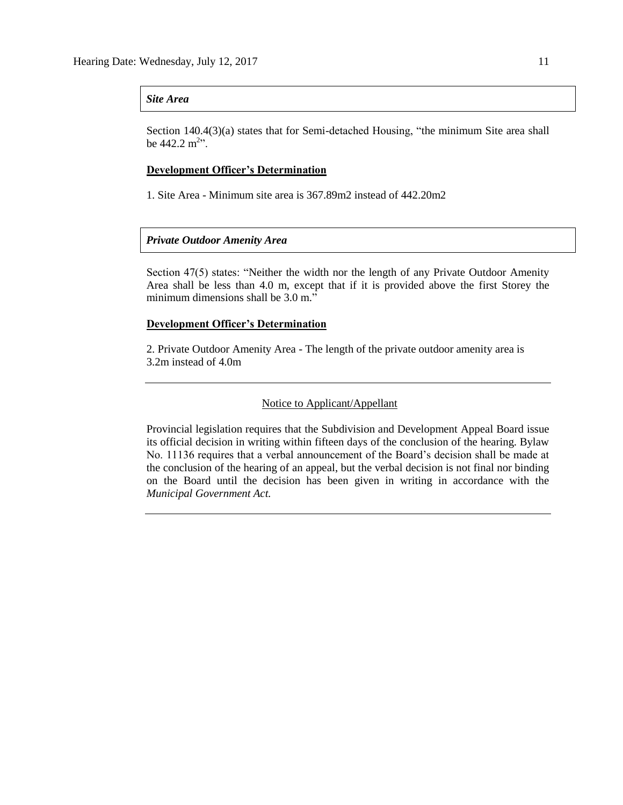## *Site Area*

Section 140.4(3)(a) states that for Semi-detached Housing, "the minimum Site area shall be  $442.2 \text{ m}^{2}$ .

## **Development Officer's Determination**

1. Site Area - Minimum site area is 367.89m2 instead of 442.20m2

## *Private Outdoor Amenity Area*

Section 47(5) states: "Neither the width nor the length of any Private Outdoor Amenity Area shall be less than 4.0 m, except that if it is provided above the first Storey the minimum dimensions shall be 3.0 m."

## **Development Officer's Determination**

2. Private Outdoor Amenity Area - The length of the private outdoor amenity area is 3.2m instead of 4.0m

#### Notice to Applicant/Appellant

Provincial legislation requires that the Subdivision and Development Appeal Board issue its official decision in writing within fifteen days of the conclusion of the hearing. Bylaw No. 11136 requires that a verbal announcement of the Board's decision shall be made at the conclusion of the hearing of an appeal, but the verbal decision is not final nor binding on the Board until the decision has been given in writing in accordance with the *Municipal Government Act.*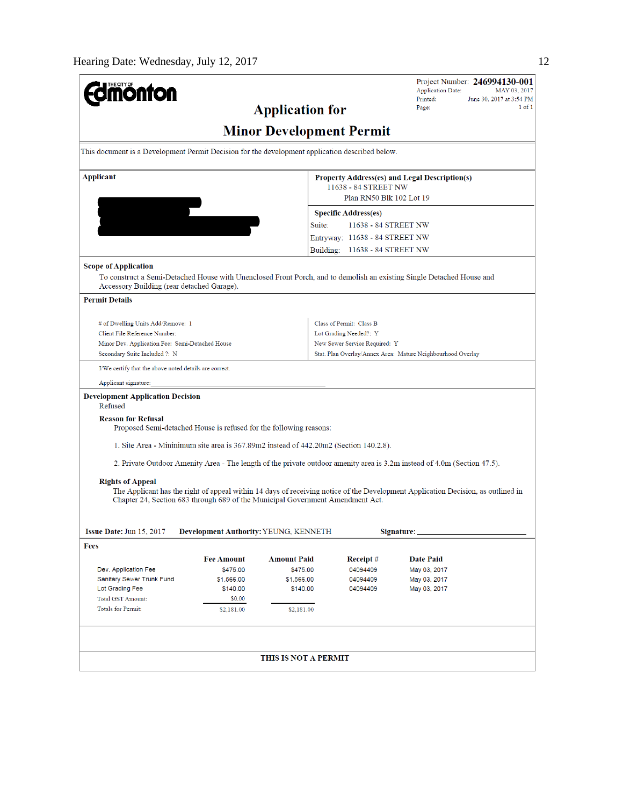| <b>Umönton</b>                                                                                  |                                                                       |                                 |                                                    | Project Number: 246994130-001<br><b>Application Date:</b><br>MAY 03, 2017                                                        |  |  |
|-------------------------------------------------------------------------------------------------|-----------------------------------------------------------------------|---------------------------------|----------------------------------------------------|----------------------------------------------------------------------------------------------------------------------------------|--|--|
|                                                                                                 | Printed:<br>June 30, 2017 at 3:54 PM<br>Page:<br>$1$ of $1$           |                                 |                                                    |                                                                                                                                  |  |  |
| <b>Application for</b>                                                                          |                                                                       |                                 |                                                    |                                                                                                                                  |  |  |
|                                                                                                 |                                                                       | <b>Minor Development Permit</b> |                                                    |                                                                                                                                  |  |  |
| This document is a Development Permit Decision for the development application described below. |                                                                       |                                 |                                                    |                                                                                                                                  |  |  |
| Applicant                                                                                       | Property Address(es) and Legal Description(s)<br>11638 - 84 STREET NW |                                 |                                                    |                                                                                                                                  |  |  |
|                                                                                                 |                                                                       |                                 | Plan RN50 Blk 102 Lot 19                           |                                                                                                                                  |  |  |
|                                                                                                 |                                                                       |                                 | <b>Specific Address(es)</b>                        |                                                                                                                                  |  |  |
|                                                                                                 |                                                                       | Suite:                          | 11638 - 84 STREET NW                               |                                                                                                                                  |  |  |
|                                                                                                 |                                                                       |                                 | Entryway: 11638 - 84 STREET NW                     |                                                                                                                                  |  |  |
|                                                                                                 |                                                                       |                                 | Building: 11638 - 84 STREET NW                     |                                                                                                                                  |  |  |
| <b>Scope of Application</b>                                                                     |                                                                       |                                 |                                                    |                                                                                                                                  |  |  |
| Accessory Building (rear detached Garage).                                                      |                                                                       |                                 |                                                    | To construct a Semi-Detached House with Unenclosed Front Porch, and to demolish an existing Single Detached House and            |  |  |
| <b>Permit Details</b>                                                                           |                                                                       |                                 |                                                    |                                                                                                                                  |  |  |
| # of Dwelling Units Add/Remove: 1                                                               |                                                                       |                                 |                                                    |                                                                                                                                  |  |  |
| Client File Reference Number:                                                                   |                                                                       |                                 | Class of Permit: Class B<br>Lot Grading Needed?: Y |                                                                                                                                  |  |  |
| Minor Dev. Application Fee: Semi-Detached House                                                 |                                                                       |                                 | New Sewer Service Required: Y                      |                                                                                                                                  |  |  |
| Secondary Suite Included ?: N<br>Stat. Plan Overlay/Annex Area: Mature Neighbourhood Overlay    |                                                                       |                                 |                                                    |                                                                                                                                  |  |  |
| I/We certify that the above noted details are correct.                                          |                                                                       |                                 |                                                    |                                                                                                                                  |  |  |
| Applicant signature:                                                                            |                                                                       |                                 |                                                    |                                                                                                                                  |  |  |
| <b>Development Application Decision</b><br>Refused                                              |                                                                       |                                 |                                                    |                                                                                                                                  |  |  |
| <b>Reason for Refusal</b><br>Proposed Semi-detached House is refused for the following reasons: |                                                                       |                                 |                                                    |                                                                                                                                  |  |  |
| 1. Site Area - Mininimum site area is 367.89m2 instead of 442.20m2 (Section 140.2.8).           |                                                                       |                                 |                                                    |                                                                                                                                  |  |  |
|                                                                                                 |                                                                       |                                 |                                                    | 2. Private Outdoor Amenity Area - The length of the private outdoor amenity area is 3.2m instead of 4.0m (Section 47.5).         |  |  |
| <b>Rights of Appeal</b>                                                                         |                                                                       |                                 |                                                    |                                                                                                                                  |  |  |
| Chapter 24, Section 683 through 689 of the Municipal Government Amendment Act.                  |                                                                       |                                 |                                                    | The Applicant has the right of appeal within 14 days of receiving notice of the Development Application Decision, as outlined in |  |  |
|                                                                                                 |                                                                       |                                 |                                                    |                                                                                                                                  |  |  |
| <b>Issue Date: Jun 15, 2017</b><br>Development Authority: YEUNG, KENNETH<br>Signature:          |                                                                       |                                 |                                                    |                                                                                                                                  |  |  |
| Fees                                                                                            |                                                                       |                                 |                                                    |                                                                                                                                  |  |  |
|                                                                                                 | <b>Fee Amount</b>                                                     | <b>Amount Paid</b>              | Receipt #                                          | <b>Date Paid</b>                                                                                                                 |  |  |
| Dev. Application Fee                                                                            | \$475.00                                                              | \$475.00                        | 04094409                                           | May 03, 2017                                                                                                                     |  |  |
| Sanitary Sewer Trunk Fund<br>Lot Grading Fee                                                    | \$1,566.00<br>\$140.00                                                | \$1,566.00<br>\$140.00          | 04094409<br>04094409                               | May 03, 2017<br>May 03, 2017                                                                                                     |  |  |
| <b>Total GST Amount:</b>                                                                        | \$0.00                                                                |                                 |                                                    |                                                                                                                                  |  |  |
| Totals for Permit:                                                                              | \$2,181.00                                                            | \$2,181.00                      |                                                    |                                                                                                                                  |  |  |
|                                                                                                 |                                                                       |                                 |                                                    |                                                                                                                                  |  |  |
|                                                                                                 |                                                                       |                                 |                                                    |                                                                                                                                  |  |  |
|                                                                                                 |                                                                       | THIS IS NOT A PERMIT            |                                                    |                                                                                                                                  |  |  |
|                                                                                                 |                                                                       |                                 |                                                    |                                                                                                                                  |  |  |